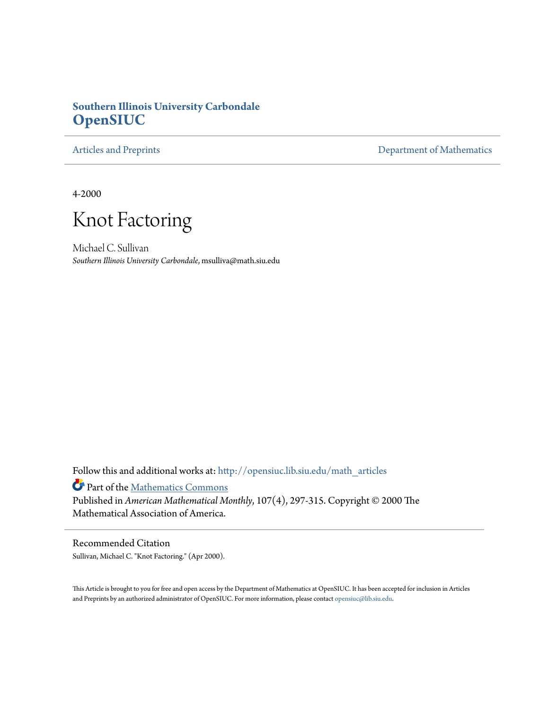# **Southern Illinois University Carbondale [OpenSIUC](http://opensiuc.lib.siu.edu?utm_source=opensiuc.lib.siu.edu%2Fmath_articles%2F72&utm_medium=PDF&utm_campaign=PDFCoverPages)**

[Articles and Preprints](http://opensiuc.lib.siu.edu/math_articles?utm_source=opensiuc.lib.siu.edu%2Fmath_articles%2F72&utm_medium=PDF&utm_campaign=PDFCoverPages) **[Department of Mathematics](http://opensiuc.lib.siu.edu/math?utm_source=opensiuc.lib.siu.edu%2Fmath_articles%2F72&utm_medium=PDF&utm_campaign=PDFCoverPages)** 

4-2000



Michael C. Sullivan *Southern Illinois University Carbondale*, msulliva@math.siu.edu

Follow this and additional works at: [http://opensiuc.lib.siu.edu/math\\_articles](http://opensiuc.lib.siu.edu/math_articles?utm_source=opensiuc.lib.siu.edu%2Fmath_articles%2F72&utm_medium=PDF&utm_campaign=PDFCoverPages)

Part of the [Mathematics Commons](http://network.bepress.com/hgg/discipline/174?utm_source=opensiuc.lib.siu.edu%2Fmath_articles%2F72&utm_medium=PDF&utm_campaign=PDFCoverPages)

Published in *American Mathematical Monthly*, 107(4), 297-315. Copyright © 2000 The Mathematical Association of America.

## Recommended Citation

Sullivan, Michael C. "Knot Factoring." (Apr 2000).

This Article is brought to you for free and open access by the Department of Mathematics at OpenSIUC. It has been accepted for inclusion in Articles and Preprints by an authorized administrator of OpenSIUC. For more information, please contact [opensiuc@lib.siu.edu](mailto:opensiuc@lib.siu.edu).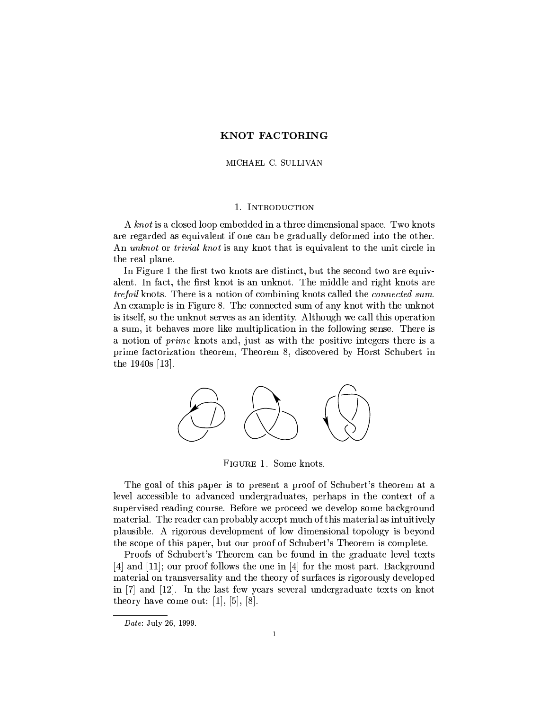## MICHAEL C. SULLIVAN

## 1. INTRODUCTION

A knot is a closed loop embedded in a three dimensional space. Two knots are regarded as equivalent if one can be gradually deformed into the other. An *unknot* or *trivial knot* is any knot that is equivalent to the unit circle in the real plane.

In Figure 1 the first two knots are distinct, but the second two are equivalent. In fact, the first knot is an unknot. The middle and right knots are *trefoil* knots. There is a notion of combining knots called the *connected sum*. An example is in Figure 8. The connected sum of any knot with the unknot is itself, so the unknot serves as an identity. Although we call this operation a sum, it behaves more like multiplication in the following sense. There is a notion of *prime* knots and, just as with the positive integers there is a prime factorization theorem, Theorem 8, discovered by Horst Schubert in the  $1940s$  [13].



FIGURE 1. Some knots.

The goal of this paper is to present a proof of Schubert's theorem at a level accessible to advanced undergraduates, perhaps in the context of a supervised reading course. Before we proceed we develop some background material. The reader can probably accept much of this material as intuitively plausible. A rigorous development of low dimensional topology is beyond the scope of this paper, but our proof of Schubert's Theorem is complete.

Proofs of Schubert's Theorem can be found in the graduate level texts [4] and [11]; our proof follows the one in [4] for the most part. Background material on transversality and the theory of surfaces is rigorously developed in [7] and [12]. In the last few years several undergraduate texts on knot theory have come out: [1], [5], [8].

Date: July 26, 1999.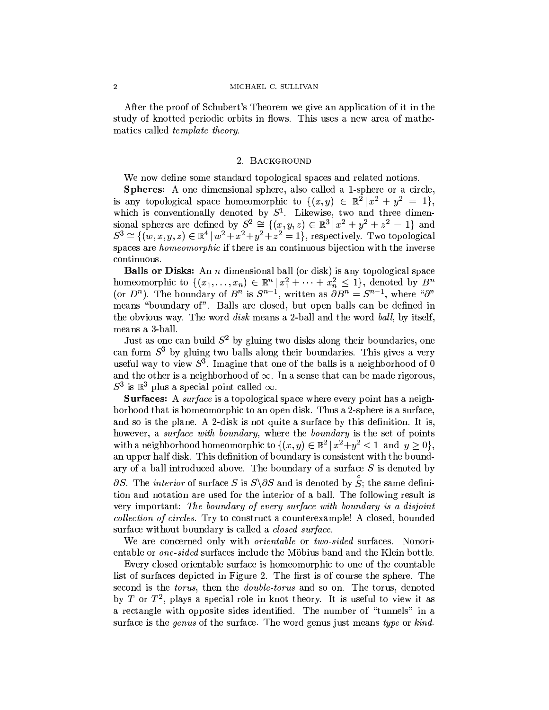#### MICHAEL C. SULLIVAN

After the proof of Schubert's Theorem we give an application of it in the study of knotted periodic orbits in flows. This uses a new area of mathematics called *template theory*.

#### 2. BACKGROUND

We now define some standard topological spaces and related notions.

Spheres: A one dimensional sphere, also called a 1-sphere or a circle, is any topological space homeomorphic to  $\{(x,y) \in \mathbb{R}^2 | x^2 + y^2 = 1 \},\$ which is conventionally denoted by  $S^1$ . Likewise, two and three dimensional spheres are defined by  $S^2 \cong \{(x, y, z) \in \mathbb{R}^3 \mid x^2 + y^2 + z^2 = 1\}$  and  $S^3 \cong \{(w, x, y, z) \in \mathbb{R}^4 \mid w^2 + x^2 + y^2 + z^2 = 1\},$  respectively. Two topological spaces are *homeomorphic* if there is an continuous bijection with the inverse continuous.

**Balls or Disks:** An  $n$  dimensional ball (or disk) is any topological space homeomorphic to  $\{(x_1, \ldots, x_n) \in \mathbb{R}^n | x_1^2 + \cdots + x_n^2 \leq 1\}$ , denoted by  $B^n$  (or  $D^n$ ). The boundary of  $B^n$  is  $S^{n-1}$ , written as  $\partial B^n = S^{n-1}$ , where " $\partial$ " means "boundary of". Balls are closed, but open balls can be defined in the obvious way. The word disk means a 2-ball and the word ball, by itself, means a 3-ball.

Just as one can build  $S^2$  by gluing two disks along their boundaries, one can form  $S^3$  by gluing two balls along their boundaries. This gives a very useful way to view  $S^3$ . Imagine that one of the balls is a neighborhood of 0 and the other is a neighborhood of  $\infty$ . In a sense that can be made rigorous,  $S^3$  is  $\mathbb{R}^3$  plus a special point called  $\infty$ .

Surfaces: A surface is a topological space where every point has a neighborhood that is homeomorphic to an open disk. Thus a 2-sphere is a surface, and so is the plane. A 2-disk is not quite a surface by this definition. It is, however, a surface with boundary, where the boundary is the set of points with a neighborhood homeomorphic to  $\{(x,y)\in\mathbb{R}^2\mid x^2+y^2<1\}$  and  $y\geq 0\}$ , an upper half disk. This definition of boundary is consistent with the boundary of a ball introduced above. The boundary of a surface  $S$  is denoted by  $\partial S$ . The *interior* of surface S is  $S \setminus \partial S$  and is denoted by  $S$ ; the same definition and notation are used for the interior of a ball. The following result is very important: The boundary of every surface with boundary is a disjoint *collection of circles.* Try to construct a counterexample! A closed, bounded surface without boundary is called a *closed surface*.

We are concerned only with *orientable* or *two-sided* surfaces. Nonorientable or one-sided surfaces include the Möbius band and the Klein bottle.

Every closed orientable surface is homeomorphic to one of the countable list of surfaces depicted in Figure 2. The first is of course the sphere. The second is the *torus*, then the *double-torus* and so on. The torus, denoted by T or  $T^2$ , plays a special role in knot theory. It is useful to view it as a rectangle with opposite sides identified. The number of "tunnels" in a surface is the *genus* of the surface. The word genus just means type or kind.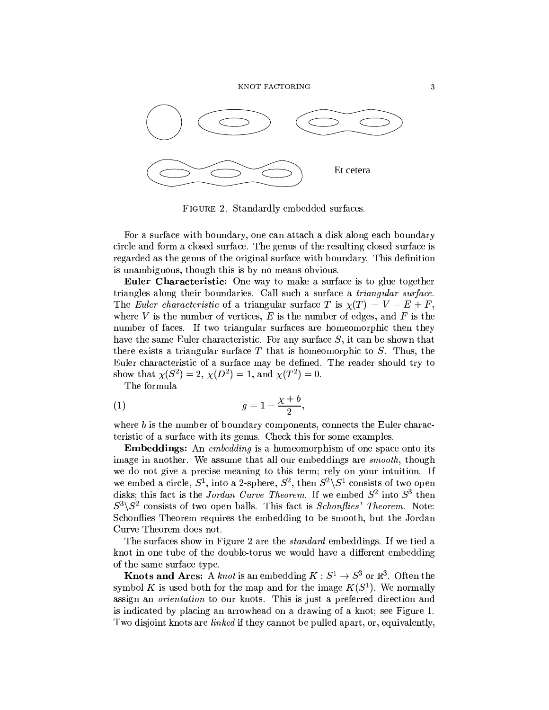

FIGURE 2. Standardly embedded surfaces.

For a surface with boundary, one can attach a disk along each boundary circle and form a closed surface. The genus of the resulting closed surface is regarded as the genus of the original surface with boundary. This definition is unambiguous, though this is by no means obvious.

**Euler Characteristic:** One way to make a surface is to glue together triangles along their boundaries. Call such a surface a *triangular surface*. The Euler characteristic of a triangular surface T is  $\chi(T) = V - E + F$ , where V is the number of vertices, E is the number of edges, and F is the number of faces. If two triangular surfaces are homeomorphic then they have the same Euler characteristic. For any surface  $S$ , it can be shown that there exists a triangular surface  $T$  that is homeomorphic to  $S$ . Thus, the Euler characteristic of a surface may be defined. The reader should try to show that  $\chi(S^2) = 2$ ,  $\chi(D^2) = 1$ , and  $\chi(T^2) = 0$ .

The formula

$$
(1) \t\t g = 1 - \frac{\chi + b}{2},
$$

where  $b$  is the number of boundary components, connects the Euler characteristic of a surface with its genus. Check this for some examples.

**Embeddings:** An embedding is a homeomorphism of one space onto its image in another. We assume that all our embeddings are *smooth*, though we do not give a precise meaning to this term; rely on your intuition. If we embed a circle,  $S^1$ , into a 2-sphere,  $S^2$ , then  $S^2 \backslash S^1$  consists of two open disks; this fact is the *Jordan Curve Theorem*. If we embed  $S^2$  into  $S^3$  then  $S^3 \backslash S^2$  consists of two open balls. This fact is *Schonflies' Theorem*. Note: Schonflies Theorem requires the embedding to be smooth, but the Jordan Curve Theorem does not.

The surfaces show in Figure 2 are the *standard* embeddings. If we tied a knot in one tube of the double-torus we would have a different embedding of the same surface type.

**Knots and Arcs:** A knot is an embedding  $K: S^1 \to S^3$  or  $\mathbb{R}^3$ . Often the symbol K is used both for the map and for the image  $K(S^1)$ . We normally assign an *orientation* to our knots. This is just a preferred direction and is indicated by placing an arrowhead on a drawing of a knot; see Figure 1. Two disjoint knots are *linked* if they cannot be pulled apart, or, equivalently,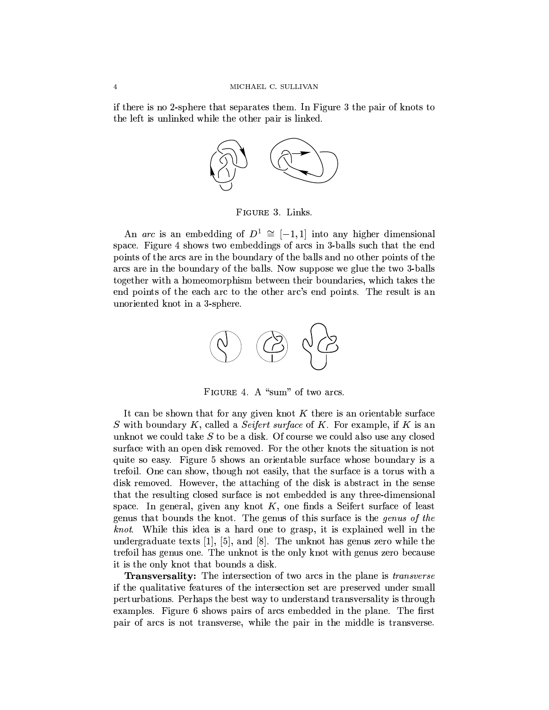if there is no 2-sphere that separates them. In Figure 3 the pair of knots to the left is unlinked while the other pair is linked.



FIGURE 3. Links.

An arc is an embedding of  $D^1 \cong [-1,1]$  into any higher dimensional space. Figure 4 shows two embeddings of arcs in 3-balls such that the end points of the arcs are in the boundary of the balls and no other points of the arcs are in the boundary of the balls. Now suppose we glue the two 3-balls together with a homeomorphism between their boundaries, which takes the end points of the each arc to the other arc's end points. The result is an unoriented knot in a 3-sphere.



FIGURE 4. A "sum" of two arcs.

It can be shown that for any given knot  $K$  there is an orientable surface S with boundary K, called a Seifert surface of K. For example, if K is an unknot we could take  $S$  to be a disk. Of course we could also use any closed surface with an open disk removed. For the other knots the situation is not quite so easy. Figure 5 shows an orientable surface whose boundary is a trefoil. One can show, though not easily, that the surface is a torus with a disk removed. However, the attaching of the disk is abstract in the sense that the resulting closed surface is not embedded is any three-dimensional space. In general, given any knot  $K$ , one finds a Seifert surface of least genus that bounds the knot. The genus of this surface is the *genus of the* knot. While this idea is a hard one to grasp, it is explained well in the undergraduate texts [1], [5], and [8]. The unknot has genus zero while the trefoil has genus one. The unknot is the only knot with genus zero because it is the only knot that bounds a disk.

Transversality: The intersection of two arcs in the plane is transverse if the qualitative features of the intersection set are preserved under small perturbations. Perhaps the best way to understand transversality is through examples. Figure 6 shows pairs of arcs embedded in the plane. The first pair of arcs is not transverse, while the pair in the middle is transverse.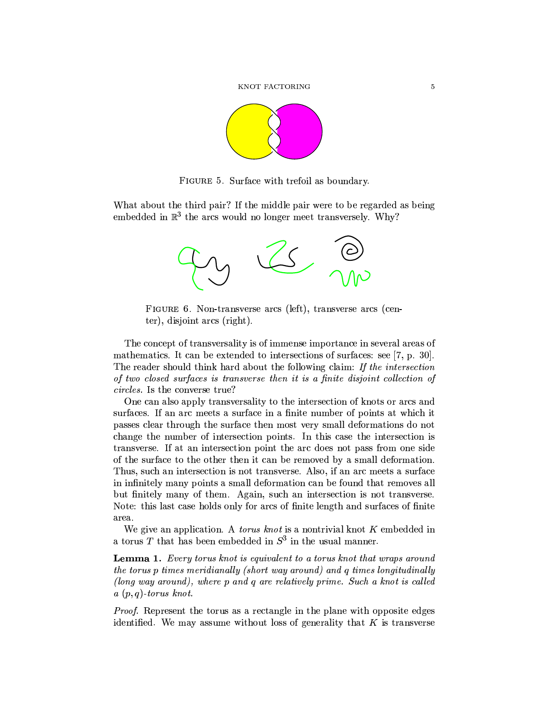

FIGURE 5. Surface with trefoil as boundary.

What about the third pair? If the middle pair were to be regarded as being embedded in  $\mathbb{R}^3$  the arcs would no longer meet transversely. Why?



FIGURE 6. Non-transverse arcs (left), transverse arcs (center), disjoint arcs (right).

The concept of transversality is of immense importance in several areas of mathematics. It can be extended to intersections of surfaces: see  $[7, p. 30]$ . The reader should think hard about the following claim: If the intersection of two closed surfaces is transverse then it is a finite disjoint collection of *circles*. Is the converse true?

One can also apply transversality to the intersection of knots or arcs and surfaces. If an arc meets a surface in a finite number of points at which it passes clear through the surface then most very small deformations do not change the number of intersection points. In this case the intersection is transverse. If at an intersection point the arc does not pass from one side of the surface to the other then it can be removed by a small deformation. Thus, such an intersection is not transverse. Also, if an arc meets a surface in infinitely many points a small deformation can be found that removes all but finitely many of them. Again, such an intersection is not transverse. Note: this last case holds only for arcs of finite length and surfaces of finite area.

We give an application. A *torus knot* is a nontrivial knot  $K$  embedded in a torus T that has been embedded in  $S^3$  in the usual manner.

**Lemma 1.** Every torus knot is equivalent to a torus knot that wraps around the torus p times meridianally (short way around) and q times longitudinally (long way around), where p and q are relatively prime. Such a knot is called  $a(p,q)$ -torus knot.

Proof. Represent the torus as a rectangle in the plane with opposite edges identified. We may assume without loss of generality that  $K$  is transverse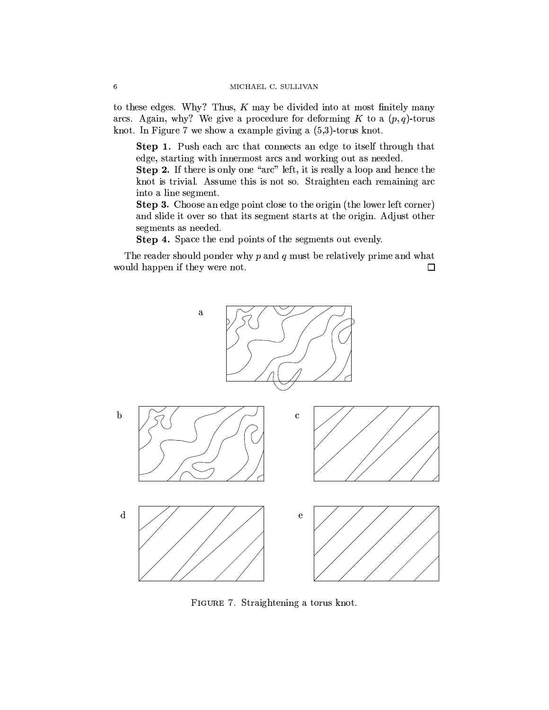to these edges. Why? Thus,  $K$  may be divided into at most finitely many arcs. Again, why? We give a procedure for deforming K to a  $(p, q)$ -torus knot. In Figure 7 we show a example giving a  $(5,3)$ -torus knot.

Step 1. Push each arc that connects an edge to itself through that edge, starting with innermost arcs and working out as needed.

Step 2. If there is only one "arc" left, it is really a loop and hence the knot is trivial. Assume this is not so. Straighten each remaining arc into a line segment.

Step 3. Choose an edge point close to the origin (the lower left corner) and slide it over so that its segment starts at the origin. Adjust other segments as needed.

Step 4. Space the end points of the segments out evenly.

The reader should ponder why  $p$  and  $q$  must be relatively prime and what would happen if they were not.  $\Box$ 



FIGURE 7. Straightening a torus knot.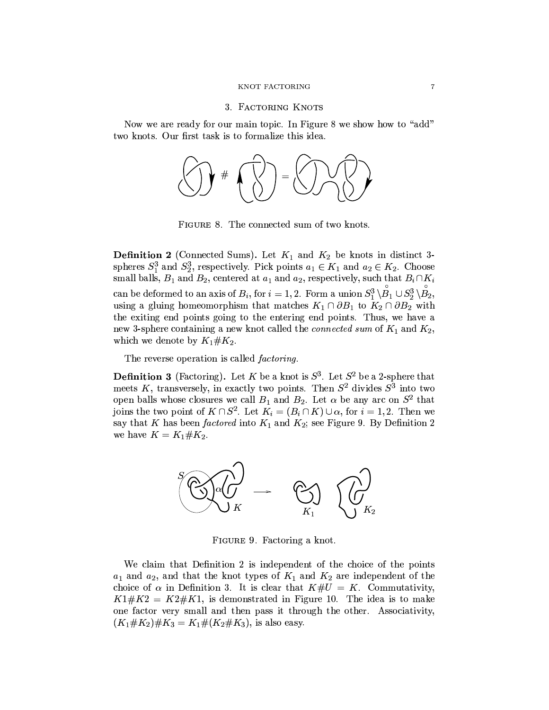#### 3. FACTORING KNOTS

Now we are ready for our main topic. In Figure 8 we show how to "add" two knots. Our first task is to formalize this idea.



FIGURE 8. The connected sum of two knots.

**Definition 2** (Connected Sums). Let  $K_1$  and  $K_2$  be knots in distinct 3spheres  $S_1^3$  and  $S_2^3$ , respectively. Pick points  $a_1 \in K_1$  and  $a_2 \in K_2$ . Choose small balls,  $B_1$  and  $B_2$ , centered at  $a_1$  and  $a_2$ , respectively, such that  $B_i \cap K_i$ can be deformed to an axis of  $B_i$ , for  $i = 1, 2$ . Form a union  $S_1^3 \setminus \overset{\circ}{B_1} \cup S_2^3 \setminus \overset{\circ}{B_2}$ , using a gluing homeomorphism that matches  $K_1 \cap \partial B_1$  to  $K_2 \cap \partial B_2$  with the exiting end points going to the entering end points. Thus, we have a new 3-sphere containing a new knot called the *connected* sum of  $K_1$  and  $K_2$ , which we denote by  $K_1 \# K_2$ .

The reverse operation is called *factoring*.

**Definition 3** (Factoring). Let K be a knot is  $S^3$ . Let  $S^2$  be a 2-sphere that meets K, transversely, in exactly two points. Then  $S^2$  divides  $S^3$  into two open balls whose closures we call  $B_1$  and  $B_2$ . Let  $\alpha$  be any arc on  $S^2$  that joins the two point of  $K \cap S^2$ . Let  $K_i = (B_i \cap K) \cup \alpha$ , for  $i = 1, 2$ . Then we say that K has been factored into  $K_1$  and  $K_2$ ; see Figure 9. By Definition 2 we have  $K = K_1 \# K_2$ .



FIGURE 9. Factoring a knot.

We claim that Definition 2 is independent of the choice of the points  $a_1$  and  $a_2$ , and that the knot types of  $K_1$  and  $K_2$  are independent of the choice of  $\alpha$  in Definition 3. It is clear that  $K \# U = K$ . Commutativity,  $K1\#K2 = K2\#K1$ , is demonstrated in Figure 10. The idea is to make one factor very small and then pass it through the other. Associativity,  $(K_1 \# K_2) \# K_3 = K_1 \# (K_2 \# K_3)$ , is also easy.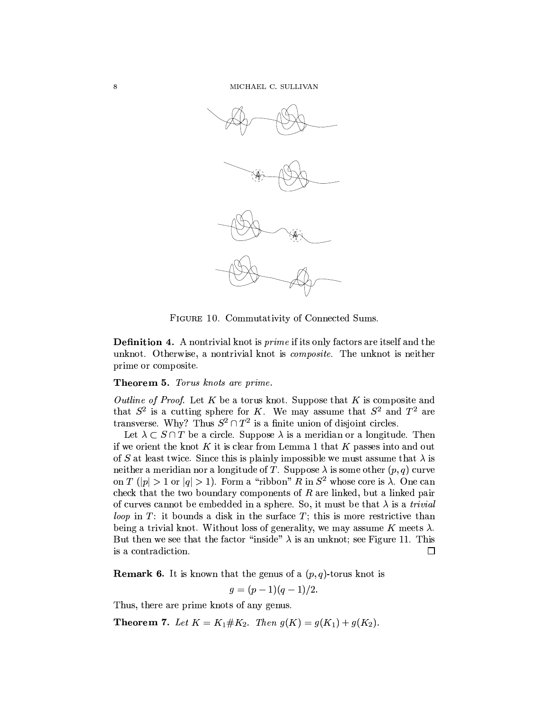

FIGURE 10. Commutativity of Connected Sums.

**Definition 4.** A nontrivial knot is *prime* if its only factors are itself and the unknot. Otherwise, a nontrivial knot is *composite*. The unknot is neither prime or composite.

## **Theorem 5.** Torus knots are prime.

Outline of Proof. Let K be a torus knot. Suppose that K is composite and that  $S^2$  is a cutting sphere for K. We may assume that  $S^2$  and  $T^2$  are transverse. Why? Thus  $S^2 \cap T^2$  is a finite union of disjoint circles.

Let  $\lambda \subset S \cap T$  be a circle. Suppose  $\lambda$  is a meridian or a longitude. Then if we orient the knot  $K$  it is clear from Lemma 1 that  $K$  passes into and out of S at least twice. Since this is plainly impossible we must assume that  $\lambda$  is neither a meridian nor a longitude of T. Suppose  $\lambda$  is some other  $(p, q)$  curve on T (|p| > 1 or  $|q|$  > 1). Form a "ribbon" R in  $S^2$  whose core is  $\lambda$ . One can check that the two boundary components of  $R$  are linked, but a linked pair of curves cannot be embedded in a sphere. So, it must be that  $\lambda$  is a *trivial* loop in  $T$ : it bounds a disk in the surface  $T$ ; this is more restrictive than being a trivial knot. Without loss of generality, we may assume K meets  $\lambda$ . But then we see that the factor "inside"  $\lambda$  is an unknot; see Figure 11. This is a contradiction. 口

**Remark 6.** It is known that the genus of a  $(p, q)$ -torus knot is

 $q = (p-1)(q-1)/2.$ 

Thus, there are prime knots of any genus.

**Theorem 7.** Let  $K = K_1 \# K_2$ . Then  $g(K) = g(K_1) + g(K_2)$ .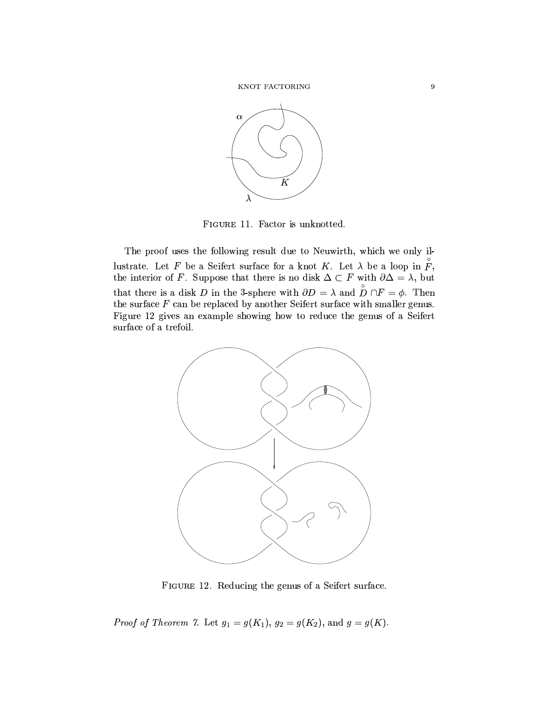

FIGURE 11. Factor is unknotted.

The proof uses the following result due to Neuwirth, which we only illustrate. Let F be a Seifert surface for a knot K. Let  $\lambda$  be a loop in  $\check{F}$ , the interior of F. Suppose that there is no disk  $\Delta \subset F$  with  $\partial \Delta = \lambda$ , but<br>that there is a disk D in the 3-sphere with  $\partial D = \lambda$  and  $\stackrel{\circ}{D} \cap F = \phi$ . Then the surface  $F$  can be replaced by another Seifert surface with smaller genus. Figure 12 gives an example showing how to reduce the genus of a Seifert surface of a trefoil.



FIGURE 12. Reducing the genus of a Seifert surface.

*Proof of Theorem 7.* Let  $g_1 = g(K_1)$ ,  $g_2 = g(K_2)$ , and  $g = g(K)$ .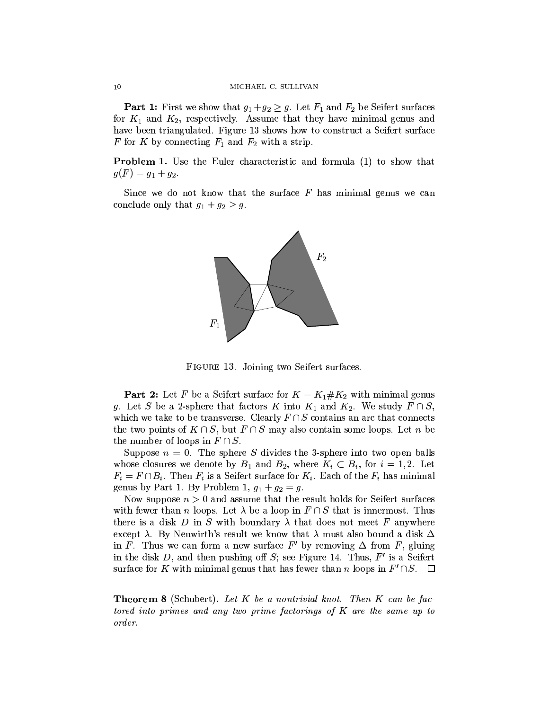**Part 1:** First we show that  $g_1 + g_2 \geq g$ . Let  $F_1$  and  $F_2$  be Seifert surfaces for  $K_1$  and  $K_2$ , respectively. Assume that they have minimal genus and have been triangulated. Figure 13 shows how to construct a Seifert surface F for K by connecting  $F_1$  and  $F_2$  with a strip.

**Problem 1.** Use the Euler characteristic and formula (1) to show that  $g(F) = g_1 + g_2.$ 

Since we do not know that the surface  $F$  has minimal genus we can conclude only that  $g_1 + g_2 \geq g$ .



FIGURE 13. Joining two Seifert surfaces.

**Part 2:** Let F be a Seifert surface for  $K = K_1 \# K_2$  with minimal genus g. Let S be a 2-sphere that factors K into  $K_1$  and  $K_2$ . We study  $F \cap S$ , which we take to be transverse. Clearly  $F \cap S$  contains an arc that connects the two points of  $K \cap S$ , but  $F \cap S$  may also contain some loops. Let n be the number of loops in  $F \cap S$ .

Suppose  $n = 0$ . The sphere S divides the 3-sphere into two open balls whose closures we denote by  $B_1$  and  $B_2$ , where  $K_i \subset B_i$ , for  $i = 1, 2$ . Let  $F_i = F \cap B_i$ . Then  $F_i$  is a Seifert surface for  $K_i$ . Each of the  $F_i$  has minimal genus by Part 1. By Problem 1,  $g_1 + g_2 = g$ .

Now suppose  $n > 0$  and assume that the result holds for Seifert surfaces with fewer than *n* loops. Let  $\lambda$  be a loop in  $F \cap S$  that is innermost. Thus there is a disk D in S with boundary  $\lambda$  that does not meet F anywhere except  $\lambda$ . By Neuwirth's result we know that  $\lambda$  must also bound a disk  $\Delta$ in F. Thus we can form a new surface F' by removing  $\Delta$  from F, gluing in the disk D, and then pushing off S; see Figure 14. Thus,  $F'$  is a Seifert surface for K with minimal genus that has fewer than n loops in  $F' \cap S$ .  $\Box$ 

**Theorem 8** (Schubert). Let  $K$  be a nontrivial knot. Then  $K$  can be factored into primes and any two prime factorings of  $K$  are the same up to order.

 $10$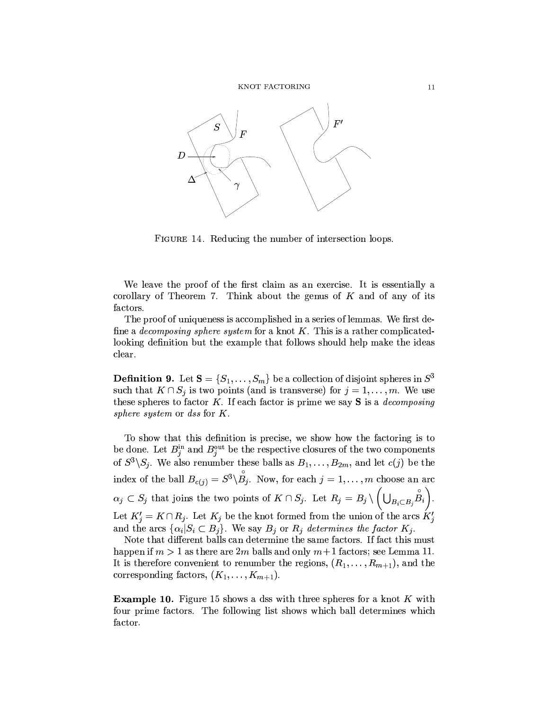

FIGURE 14. Reducing the number of intersection loops.

We leave the proof of the first claim as an exercise. It is essentially a corollary of Theorem 7. Think about the genus of  $K$  and of any of its factors.

The proof of uniqueness is accomplished in a series of lemmas. We first define a *decomposing sphere system* for a knot  $K$ . This is a rather complicatedlooking definition but the example that follows should help make the ideas clear.

**Definition 9.** Let  $S = \{S_1, \ldots, S_m\}$  be a collection of disjoint spheres in  $S^3$ such that  $K \cap S_j$  is two points (and is transverse) for  $j = 1, ..., m$ . We use these spheres to factor  $K$ . If each factor is prime we say  $S$  is a *decomposing* sphere system or dss for  $K$ .

To show that this definition is precise, we show how the factoring is to be done. Let  $B_j^{\text{in}}$  and  $B_j^{\text{out}}$  be the respective closures of the two components of  $S^3\backslash S_j$ . We also renumber these balls as  $B_1,\ldots,B_{2m}$ , and let  $c(j)$  be the index of the ball  $B_{c(j)} = S^3 \backslash \stackrel{\circ}{B_j}$ . Now, for each  $j = 1, ..., m$  choose an arc  $\alpha_j \subset S_j$  that joins the two points of  $K \cap S_j$ . Let  $R_j = B_j \setminus \left(\bigcup_{B_i \subset B_j} \overset{\circ}{B_i}\right)$ . Let  $K'_i = K \cap R_j$ . Let  $K_j$  be the knot formed from the union of the arcs  $K'_i$ and the arcs  $\{\alpha_i|S_i \subset B_j\}$ . We say  $B_j$  or  $R_j$  determines the factor  $K_j$ .

Note that different balls can determine the same factors. If fact this must happen if  $m > 1$  as there are 2m balls and only  $m+1$  factors; see Lemma 11. It is therefore convenient to renumber the regions,  $(R_1, \ldots, R_{m+1})$ , and the corresponding factors,  $(K_1, \ldots, K_{m+1})$ .

**Example 10.** Figure 15 shows a dss with three spheres for a knot K with four prime factors. The following list shows which ball determines which factor.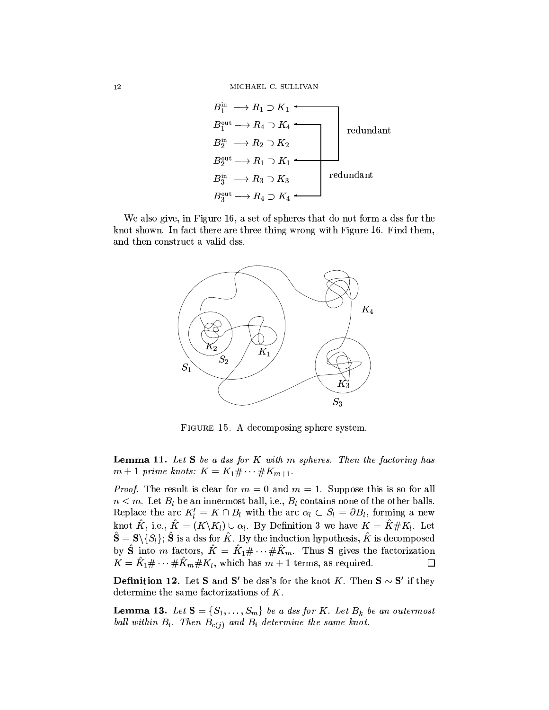$$
B_1^{\text{in}} \longrightarrow R_1 \supset K_1
$$
  
\n
$$
B_2^{\text{in}} \longrightarrow R_2 \supset K_2
$$
  
\n
$$
B_2^{\text{out}} \longrightarrow R_1 \supset K_1
$$
  
\n
$$
B_3^{\text{in}} \longrightarrow R_3 \supset K_3
$$
  
\n
$$
B_3^{\text{out}} \longrightarrow R_4 \supset K_4
$$
  
\n
$$
B_4^{\text{out}} \longrightarrow R_4 \supset K_4
$$

We also give, in Figure 16, a set of spheres that do not form a dss for the knot shown. In fact there are three thing wrong with Figure 16. Find them, and then construct a valid dss.



FIGURE 15. A decomposing sphere system.

**Lemma 11.** Let  $S$  be a dss for  $K$  with  $m$  spheres. Then the factoring has  $m+1$  prime knots:  $K = K_1 \# \cdots \# K_{m+1}$ .

*Proof.* The result is clear for  $m = 0$  and  $m = 1$ . Suppose this is so for all  $n < m$ . Let  $B_l$  be an innermost ball, i.e.,  $B_l$  contains none of the other balls. Replace the arc  $K'_l = K \cap B_l$  with the arc  $\alpha_l \subset S_l = \partial B_l$ , forming a new knot  $\hat{K}$ , i.e.,  $\hat{K} = (K \backslash K_l) \cup \alpha_l$ . By Definition 3 we have  $K = \hat{K} \# K_l$ . Let  $\hat{\mathbf{S}} = \mathbf{S} \setminus \{S_l\}; \hat{\mathbf{S}}$  is a dss for  $\hat{K}$ . By the induction hypothesis,  $\hat{K}$  is decomposed by  $\hat{\mathbf{S}}$  into m factors,  $\hat{K} = \hat{K}_1 \# \cdots \# \hat{K}_m$ . Thus **S** gives the factorization  $K = \hat{K}_1 \# \cdots \# \hat{K}_m \# K_l$ , which has  $m+1$  terms, as required. □

**Definition 12.** Let S and S' be dss's for the knot K. Then  $S \sim S'$  if they determine the same factorizations of  $K$ .

**Lemma 13.** Let  $S = \{S_1, \ldots, S_m\}$  be a dss for K. Let  $B_k$  be an outermost ball within  $B_i$ . Then  $B_{c(j)}$  and  $B_i$  determine the same knot.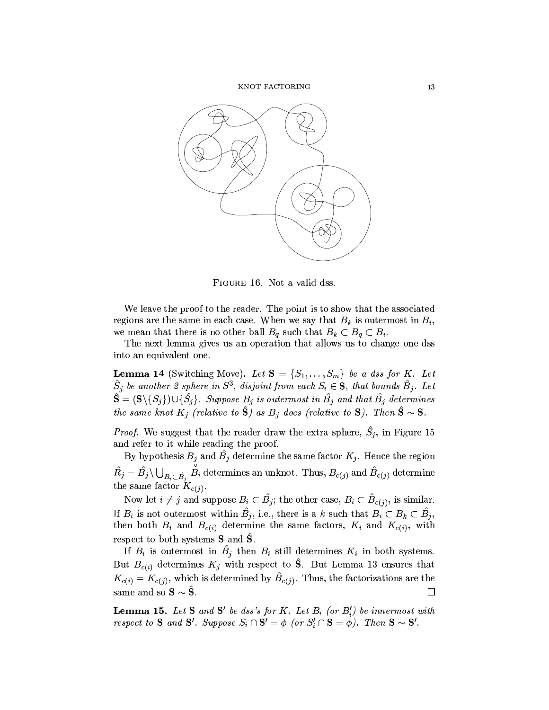

FIGURE 16. Not a valid dss.

We leave the proof to the reader. The point is to show that the associated regions are the same in each case. When we say that  $B_k$  is outermost in  $B_i$ , we mean that there is no other ball  $B_q$  such that  $B_k \subset B_q \subset B_i$ .

The next lemma gives us an operation that allows us to change one dss into an equivalent one.

**Lemma 14** (Switching Move). Let  $S = \{S_1, \ldots, S_m\}$  be a dss for K. Let  $\hat{S}_j$  be another 2-sphere in  $S^3$ , disjoint from each  $S_i \in \mathbf{S}$ , that bounds  $\hat{B}_j$ . Let  $\hat{\mathbf{S}} = (\mathbf{S} \setminus \{S_i\}) \cup \{\hat{S_i}\}\text{. Suppose } B_j \text{ is outermost in } \hat{B_j} \text{ and that } \hat{B_j} \text{ determines }$ the same knot  $K_j$  (relative to  $\hat{S}$ ) as  $B_j$  does (relative to  $S$ ). Then  $\hat{S} \sim S$ .

*Proof.* We suggest that the reader draw the extra sphere,  $\hat{S}_i$ , in Figure 15 and refer to it while reading the proof.

By hypothesis  $B_j$  and  $\hat{B}_j$  determine the same factor  $K_j$ . Hence the region  $\hat{R}_j = \hat{B}_j \setminus \bigcup_{B_i \subset \hat{B}_j} B_i$  determines an unknot. Thus,  $B_{c(j)}$  and  $\hat{B}_{c(j)}$  determine the same factor  $K_{c(i)}$ .

Now let  $i \neq j$  and suppose  $B_i \subset \hat{B}_j$ ; the other case,  $B_i \subset \hat{B}_{c(j)}$ , is similar. If  $B_i$  is not outermost within  $\hat{B}_j$ , i.e., there is a k such that  $B_i \subset B_k \subset \hat{B}_j$ , then both  $B_i$  and  $B_{c(i)}$  determine the same factors,  $K_i$  and  $K_{c(i)}$ , with respect to both systems  $S$  and  $\tilde{S}$ .

If  $B_i$  is outermost in  $B_i$  then  $B_i$  still determines  $K_i$  in both systems. But  $B_{c(i)}$  determines  $K_j$  with respect to  $\hat{S}$ . But Lemma 13 ensures that  $K_{c(i)} = K_{c(i)}$ , which is determined by  $\hat{B}_{c(i)}$ . Thus, the factorizations are the same and so  $S \sim \hat{S}$ .  $\Box$ 

**Lemma 15.** Let S and S' be dss's for K. Let  $B_i$  (or  $B_i'$ ) be innermost with respect to S and S'. Suppose  $S_i \cap \mathbf{S}' = \phi$  (or  $S'_i \cap \mathbf{S} = \phi'$ ). Then  $\mathbf{S} \sim \mathbf{S}'$ .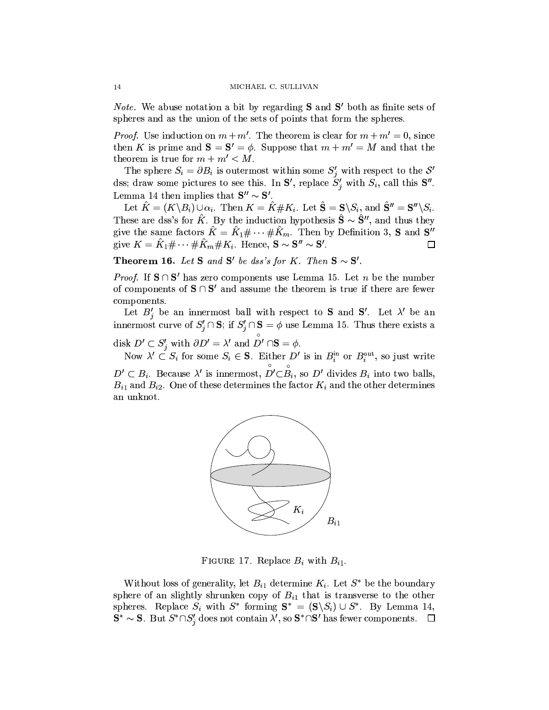*Note.* We abuse notation a bit by regarding  $S$  and  $S'$  both as finite sets of spheres and as the union of the sets of points that form the spheres.

*Proof.* Use induction on  $m + m'$ . The theorem is clear for  $m + m' = 0$ , since then K is prime and  $S = S' = \phi$ . Suppose that  $m + m' = M$  and that the theorem is true for  $m + m' < M$ .

The sphere  $S_i = \partial B_i$  is outermost within some  $S'_j$  with respect to the  $S'$ dss; draw some pictures to see this. In  $S'$ , replace  $S'_{i}$  with  $S_{i}$ , call this  $S''$ . Lemma 14 then implies that  $S'' \sim S'$ .

Let  $\hat{K} = (K \backslash B_i) \cup \alpha_i$ . Then  $K = \hat{K} \# K_i$ . Let  $\hat{S} = S \backslash S_i$ , and  $\hat{S}'' = S'' \backslash S_i$ . These are dss's for  $\hat{K}$ . By the induction hypothesis  $\hat{S} \sim \hat{S}''$ , and thus they give the same factors  $\hat{K} = \hat{K}_1 \# \cdots \# \hat{K}_m$ . Then by Definition 3, **S** and **S''** give  $K = \hat{K}_1 \# \cdots \# \hat{K}_m \# K_i$ . Hence,  $\mathbf{S} \sim \mathbf{S}'' \sim \mathbf{S}'$ .  $\Box$ 

**Theorem 16.** Let S and S' be dss's for K. Then  $S \sim S'$ .

*Proof.* If  $S \cap S'$  has zero components use Lemma 15. Let *n* be the number of components of  $S \cap S'$  and assume the theorem is true if there are fewer components.

Let  $B'_i$  be an innermost ball with respect to **S** and **S'**. Let  $\lambda'$  be an innermost curve of  $S'_i \cap \mathbf{S}$ ; if  $S'_i \cap \mathbf{S} = \phi$  use Lemma 15. Thus there exists a

disk  $D' \subset S'_j$  with  $\partial D' = \lambda'$  and  $D' \cap S = \phi$ .<br>Now  $\lambda' \subset S_i$  for some  $S_i \in S$ . Either  $D'$  is in  $B_i^{\text{in}}$  or  $B_i^{\text{out}}$ , so just write  $D' \subset B_i$ . Because  $\lambda'$  is innermost,  $D' \subset B_i$ , so  $D'$  divides  $B_i$  into two balls,  $B_{i1}$  and  $B_{i2}$ . One of these determines the factor  $K_i$  and the other determines an unknot.



FIGURE 17. Replace  $B_i$  with  $B_{i1}$ .

Without loss of generality, let  $B_{i1}$  determine  $K_i$ . Let  $S^*$  be the boundary sphere of an slightly shrunken copy of  $B_{i1}$  that is transverse to the other spheres. Replace  $S_i$  with  $S^*$  forming  $S^* = (S \setminus S_i) \cup S^*$ . By Lemma 14,  $\mathbf{S}^* \sim \mathbf{S}$ . But  $S^* \cap S'_i$  does not contain  $\lambda'$ , so  $\mathbf{S}^* \cap \mathbf{S}'$  has fewer components.  $\Box$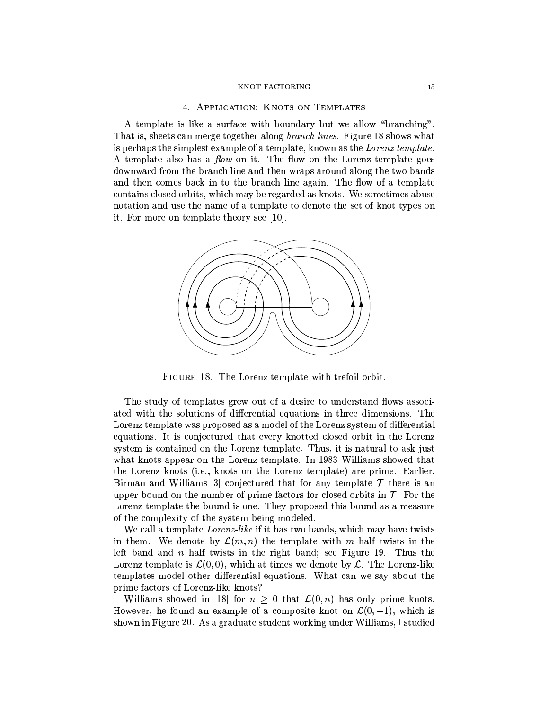## 4. APPLICATION: KNOTS ON TEMPLATES

A template is like a surface with boundary but we allow "branching". That is, sheets can merge together along *branch lines*. Figure 18 shows what is perhaps the simplest example of a template, known as the Lorenz template. A template also has a *flow* on it. The flow on the Lorenz template goes downward from the branch line and then wraps around along the two bands and then comes back in to the branch line again. The flow of a template contains closed orbits, which may be regarded as knots. We sometimes abuse notation and use the name of a template to denote the set of knot types on it. For more on template theory see [10].



FIGURE 18. The Lorenz template with trefoil orbit.

The study of templates grew out of a desire to understand flows associated with the solutions of differential equations in three dimensions. The Lorenz template was proposed as a model of the Lorenz system of differential equations. It is conjectured that every knotted closed orbit in the Lorenz system is contained on the Lorenz template. Thus, it is natural to ask just what knots appear on the Lorenz template. In 1983 Williams showed that the Lorenz knots (i.e., knots on the Lorenz template) are prime. Earlier, Birman and Williams [3] conjectured that for any template  $\mathcal T$  there is an upper bound on the number of prime factors for closed orbits in  $\mathcal T$ . For the Lorenz template the bound is one. They proposed this bound as a measure of the complexity of the system being modeled.

We call a template *Lorenz-like* if it has two bands, which may have twists in them. We denote by  $\mathcal{L}(m,n)$  the template with m half twists in the left band and  $n$  half twists in the right band; see Figure 19. Thus the Lorenz template is  $\mathcal{L}(0,0)$ , which at times we denote by  $\mathcal{L}$ . The Lorenz-like templates model other differential equations. What can we say about the prime factors of Lorenz-like knots?

Williams showed in [18] for  $n \geq 0$  that  $\mathcal{L}(0,n)$  has only prime knots. However, he found an example of a composite knot on  $\mathcal{L}(0,-1)$ , which is shown in Figure 20. As a graduate student working under Williams, I studied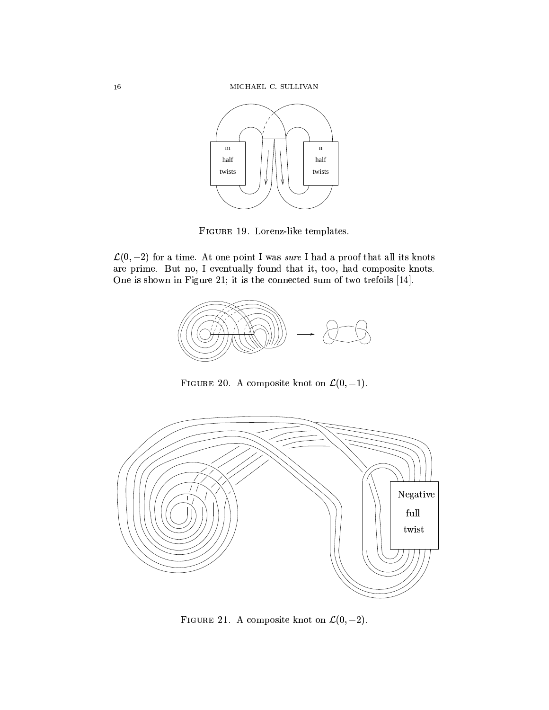

FIGURE 19. Lorenz-like templates.

 $\mathcal{L}(0,-2)$  for a time. At one point I was sure I had a proof that all its knots are prime. But no, I eventually found that it, too, had composite knots. One is shown in Figure 21; it is the connected sum of two trefoils [14].



FIGURE 20. A composite knot on  $\mathcal{L}(0, -1)$ .



FIGURE 21. A composite knot on  $\mathcal{L}(0, -2)$ .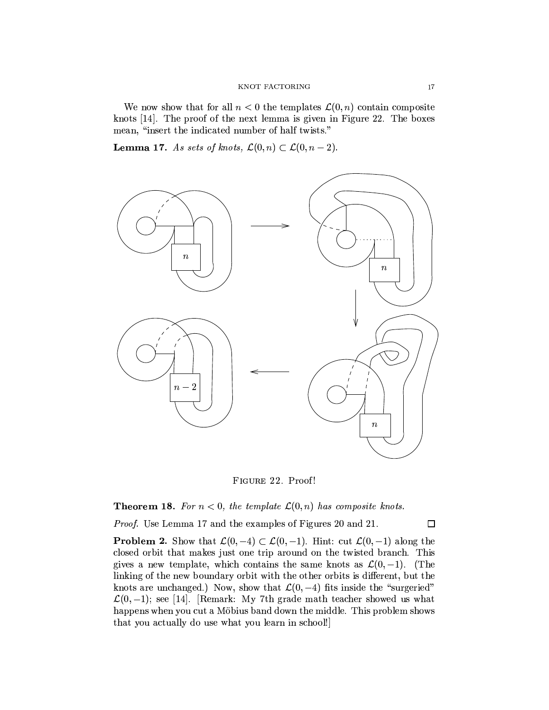We now show that for all  $n < 0$  the templates  $\mathcal{L}(0, n)$  contain composite knots [14]. The proof of the next lemma is given in Figure 22. The boxes mean, "insert the indicated number of half twists."

**Lemma 17.** As sets of knots,  $\mathcal{L}(0,n) \subset \mathcal{L}(0,n-2)$ .



FIGURE 22. Proof!

**Theorem 18.** For  $n < 0$ , the template  $\mathcal{L}(0, n)$  has composite knots.

Proof. Use Lemma 17 and the examples of Figures 20 and 21.

 $\Box$ 

**Problem 2.** Show that  $\mathcal{L}(0,-4) \subset \mathcal{L}(0,-1)$ . Hint: cut  $\mathcal{L}(0,-1)$  along the closed orbit that makes just one trip around on the twisted branch. This gives a new template, which contains the same knots as  $\mathcal{L}(0,-1)$ . (The linking of the new boundary orbit with the other orbits is different, but the knots are unchanged.) Now, show that  $\mathcal{L}(0, -4)$  fits inside the "surgeried"  $\mathcal{L}(0,-1)$ ; see [14]. [Remark: My 7th grade math teacher showed us what happens when you cut a Möbius band down the middle. This problem shows that you actually do use what you learn in school!]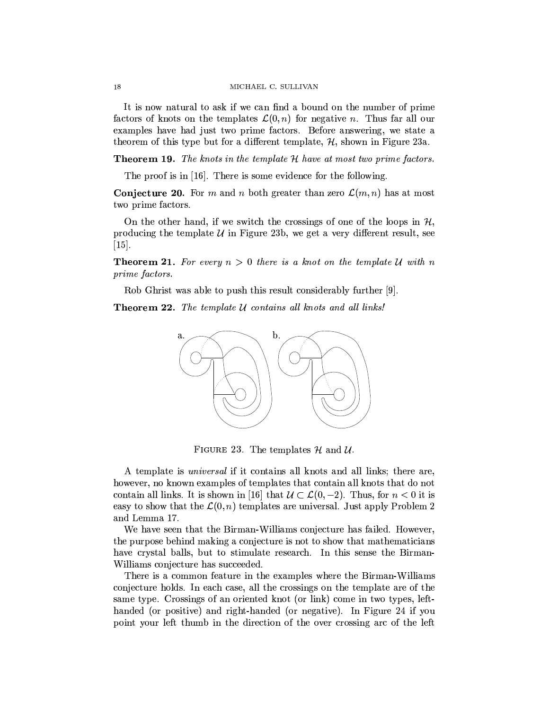It is now natural to ask if we can find a bound on the number of prime factors of knots on the templates  $\mathcal{L}(0, n)$  for negative n. Thus far all our examples have had just two prime factors. Before answering, we state a theorem of this type but for a different template,  $H$ , shown in Figure 23a.

**Theorem 19.** The knots in the template H have at most two prime factors.

The proof is in  $[16]$ . There is some evidence for the following.

**Conjecture 20.** For m and n both greater than zero  $\mathcal{L}(m,n)$  has at most two prime factors.

On the other hand, if we switch the crossings of one of the loops in  $H$ , producing the template  $\mathcal U$  in Figure 23b, we get a very different result, see  $\vert 15 \vert$ .

**Theorem 21.** For every  $n > 0$  there is a knot on the template U with n *prime factors.* 

Rob Ghrist was able to push this result considerably further [9].

**Theorem 22.** The template U contains all knots and all links!



FIGURE 23. The templates  $H$  and  $U$ .

A template is *universal* if it contains all knots and all links; there are, however, no known examples of templates that contain all knots that do not contain all links. It is shown in [16] that  $\mathcal{U} \subset \mathcal{L}(0,-2)$ . Thus, for  $n < 0$  it is easy to show that the  $\mathcal{L}(0,n)$  templates are universal. Just apply Problem 2 and Lemma 17.

We have seen that the Birman-Williams conjecture has failed. However, the purpose behind making a conjecture is not to show that mathematicians have crystal balls, but to stimulate research. In this sense the Birman-Williams conjecture has succeeded.

There is a common feature in the examples where the Birman-Williams conjecture holds. In each case, all the crossings on the template are of the same type. Crossings of an oriented knot (or link) come in two types, lefthanded (or positive) and right-handed (or negative). In Figure 24 if you point your left thumb in the direction of the over crossing arc of the left

18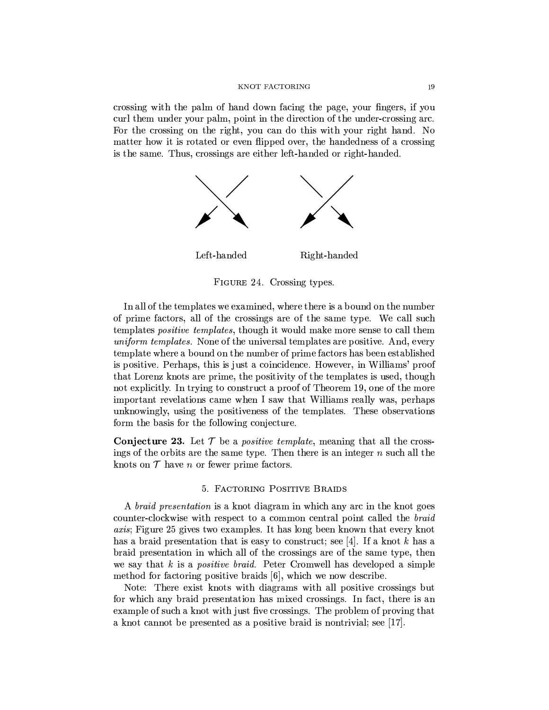crossing with the palm of hand down facing the page, your fingers, if you curl them under your palm, point in the direction of the under-crossing arc. For the crossing on the right, you can do this with your right hand. No matter how it is rotated or even flipped over, the handedness of a crossing is the same. Thus, crossings are either left-handed or right-handed.



FIGURE 24. Crossing types.

In all of the templates we examined, where there is a bound on the number of prime factors, all of the crossings are of the same type. We call such templates *positive templates*, though it would make more sense to call them *uniform templates.* None of the universal templates are positive. And, every template where a bound on the number of prime factors has been established is positive. Perhaps, this is just a coincidence. However, in Williams' proof that Lorenz knots are prime, the positivity of the templates is used, though not explicitly. In trying to construct a proof of Theorem 19, one of the more important revelations came when I saw that Williams really was, perhaps unknowingly, using the positiveness of the templates. These observations form the basis for the following conjecture.

**Conjecture 23.** Let  $\mathcal T$  be a *positive template*, meaning that all the crossings of the orbits are the same type. Then there is an integer  $n$  such all the knots on  $\mathcal T$  have n or fewer prime factors.

## 5. FACTORING POSITIVE BRAIDS

A *braid presentation* is a knot diagram in which any arc in the knot goes counter-clockwise with respect to a common central point called the braid *axis*; Figure 25 gives two examples. It has long been known that every knot has a braid presentation that is easy to construct; see [4]. If a knot k has a braid presentation in which all of the crossings are of the same type, then we say that k is a *positive braid*. Peter Cromwell has developed a simple method for factoring positive braids [6], which we now describe.

Note: There exist knots with diagrams with all positive crossings but for which any braid presentation has mixed crossings. In fact, there is an example of such a knot with just five crossings. The problem of proving that a knot cannot be presented as a positive braid is nontrivial; see [17].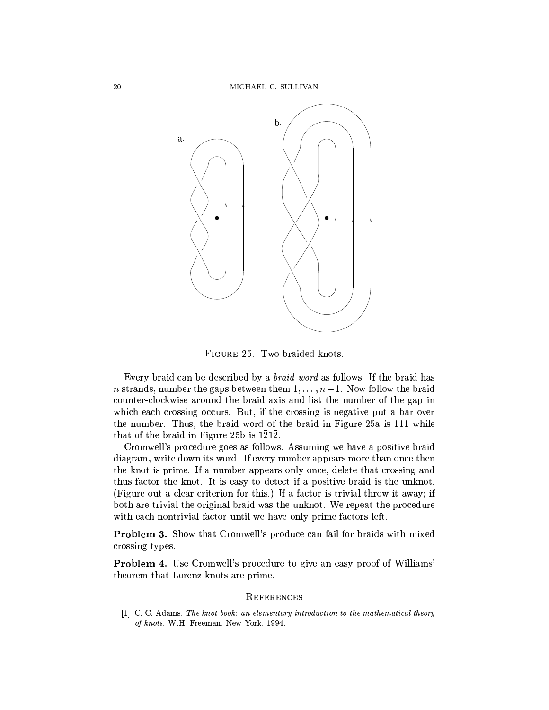

FIGURE 25. Two braided knots.

Every braid can be described by a *braid word* as follows. If the braid has *n* strands, number the gaps between them  $1, \ldots, n-1$ . Now follow the braid counter-clockwise around the braid axis and list the number of the gap in which each crossing occurs. But, if the crossing is negative put a bar over the number. Thus, the braid word of the braid in Figure 25a is 111 while that of the braid in Figure 25b is 1212.

Cromwell's procedure goes as follows. Assuming we have a positive braid diagram, write down its word. If every number appears more than once then the knot is prime. If a number appears only once, delete that crossing and thus factor the knot. It is easy to detect if a positive braid is the unknot. (Figure out a clear criterion for this.) If a factor is trivial throw it away; if both are trivial the original braid was the unknot. We repeat the procedure with each nontrivial factor until we have only prime factors left.

**Problem 3.** Show that Cromwell's produce can fail for braids with mixed crossing types.

Problem 4. Use Cromwell's procedure to give an easy proof of Williams' theorem that Lorenz knots are prime.

## **REFERENCES**

[1] C. C. Adams, The knot book: an elementary introduction to the mathematical theory of knots, W.H. Freeman, New York, 1994.